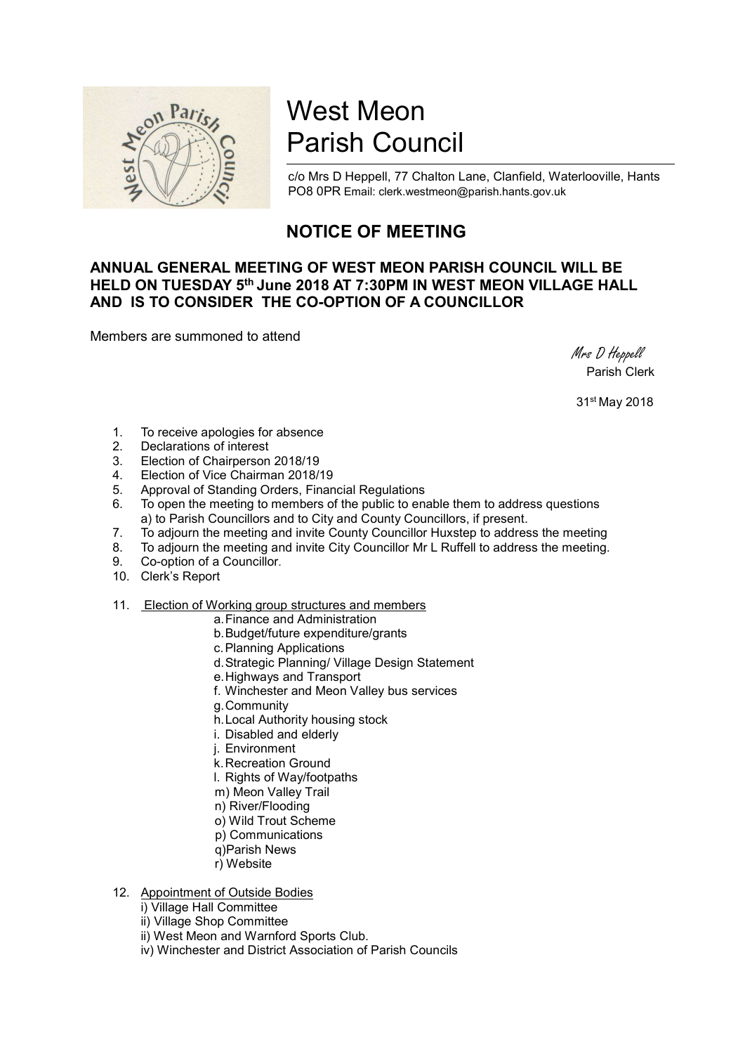

# West Meon Parish Council

c/o Mrs D Heppell, 77 Chalton Lane, Clanfield, Waterlooville, Hants PO8 0PR Email: clerk.westmeon@parish.hants.gov.uk

## NOTICE OF MEETING

### ANNUAL GENERAL MEETING OF WEST MEON PARISH COUNCIL WILL BE HELD ON TUESDAY 5<sup>th</sup> June 2018 AT 7:30PM IN WEST MEON VILLAGE HALL AND IS TO CONSIDER THE CO-OPTION OF A COUNCILLOR

Members are summoned to attend

 Mrs D Heppell Parish Clerk

31st May 2018

- 1. To receive apologies for absence
- 2. Declarations of interest
- 3. Election of Chairperson 2018/19
- 4. Election of Vice Chairman 2018/19
- 5. Approval of Standing Orders, Financial Regulations
- 6. To open the meeting to members of the public to enable them to address questions a) to Parish Councillors and to City and County Councillors, if present.
- 7. To adjourn the meeting and invite County Councillor Huxstep to address the meeting
- 8. To adjourn the meeting and invite City Councillor Mr L Ruffell to address the meeting.
- 9. Co-option of a Councillor.
- 10. Clerk's Report
- 11. Election of Working group structures and members
	- a. Finance and Administration
	- b. Budget/future expenditure/grants
	- c. Planning Applications
	- d. Strategic Planning/ Village Design Statement
	- e. Highways and Transport
	- f. Winchester and Meon Valley bus services
	- g. Community
	- h. Local Authority housing stock
	- i. Disabled and elderly
	- j. Environment
	- k. Recreation Ground
	- l. Rights of Way/footpaths
	- m) Meon Valley Trail
	- n) River/Flooding
	- o) Wild Trout Scheme
	- p) Communications
	- q)Parish News
	- r) Website

#### 12. Appointment of Outside Bodies

- i) Village Hall Committee
- ii) Village Shop Committee
- ii) West Meon and Warnford Sports Club.
- iv) Winchester and District Association of Parish Councils